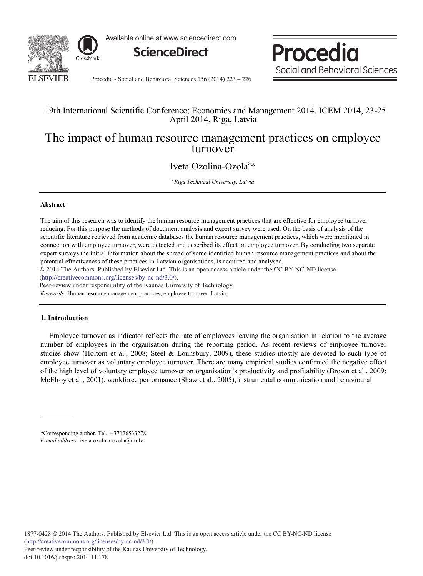

Available online at www.sciencedirect.com



Procedia Social and Behavioral Sciences

Procedia - Social and Behavioral Sciences 156 (2014) 223 - 226

### 19th International Scientific Conference; Economics and Management 2014, ICEM 2014, 23-25 April 2014, Riga, Latvia

# The impact of human resource management practices on employee turnover

## Iveta Ozolina-Ozola<sup>a</sup>\*

*<sup>a</sup> Riga Technical University, Latvia*

#### **Abstract**

The aim of this research was to identify the human resource management practices that are effective for employee turnover reducing. For this purpose the methods of document analysis and expert survey were used. On the basis of analysis of the scientific literature retrieved from academic databases the human resource management practices, which were mentioned in connection with employee turnover, were detected and described its effect on employee turnover. By conducting two separate expert surveys the initial information about the spread of some identified human resource management practices and about the potential effectiveness of these practices in Latvian organisations, is acquired and analysed.

© 2014 The Authors. Published by Elsevier Ltd. © 2014 The Authors. Published by Elsevier Ltd. This is an open access article under the CC BY-NC-ND license (http://creativecommons.org/licenses/by-nc-nd/3.0/).

Peer-review under responsibility of the Kaunas University of Technology.

*Keywords:* Human resource management practices; employee turnover; Latvia.

### **1. Introduction**

Employee turnover as indicator reflects the rate of employees leaving the organisation in relation to the average number of employees in the organisation during the reporting period. As recent reviews of employee turnover studies show (Holtom et al., 2008; Steel & Lounsbury, 2009), these studies mostly are devoted to such type of employee turnover as voluntary employee turnover. There are many empirical studies confirmed the negative effect of the high level of voluntary employee turnover on organisation's productivity and profitability (Brown et al., 2009; McElroy et al., 2001), workforce performance (Shaw et al., 2005), instrumental communication and behavioural

\*Corresponding author. Tel.: +37126533278 *E-mail address:* iveta.ozolina-ozola@rtu.lv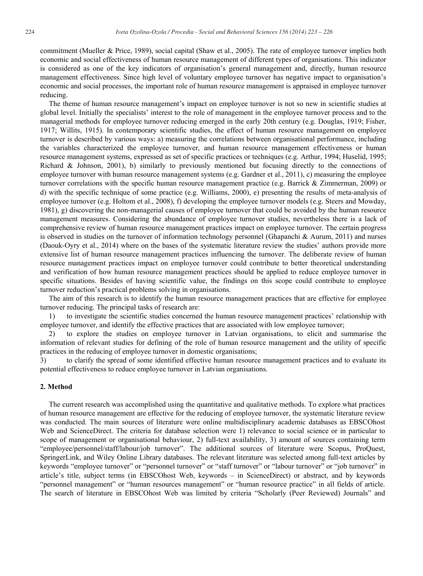commitment (Mueller & Price, 1989), social capital (Shaw et al., 2005). The rate of employee turnover implies both economic and social effectiveness of human resource management of different types of organisations. This indicator is considered as one of the key indicators of organisation's general management and, directly, human resource management effectiveness. Since high level of voluntary employee turnover has negative impact to organisation's economic and social processes, the important role of human resource management is appraised in employee turnover reducing.

The theme of human resource management's impact on employee turnover is not so new in scientific studies at global level. Initially the specialists' interest to the role of management in the employee turnover process and to the managerial methods for employee turnover reducing emerged in the early 20th century (e.g. Douglas, 1919; Fisher, 1917; Willits, 1915). In contemporary scientific studies, the effect of human resource management on employee turnover is described by various ways: a) measuring the correlations between organisational performance, including the variables characterized the employee turnover, and human resource management effectiveness or human resource management systems, expressed as set of specific practices or techniques (e.g. Arthur, 1994; Huselid, 1995; Richard & Johnson, 2001), b) similarly to previously mentioned but focusing directly to the connections of employee turnover with human resource management systems (e.g. Gardner et al., 2011), c) measuring the employee turnover correlations with the specific human resource management practice (e.g. Barrick & Zimmerman, 2009) or d) with the specific technique of some practice (e.g. Williams, 2000), e) presenting the results of meta-analysis of employee turnover (e.g. Holtom et al., 2008), f) developing the employee turnover models (e.g. Steers and Mowday, 1981), g) discovering the non-managerial causes of employee turnover that could be avoided by the human resource management measures. Considering the abundance of employee turnover studies, nevertheless there is a lack of comprehensive review of human resource management practices impact on employee turnover. The certain progress is observed in studies on the turnover of information technology personnel (Ghapanchi & Aurum, 2011) and nurses (Daouk-Oyry et al., 2014) where on the bases of the systematic literature review the studies' authors provide more extensive list of human resource management practices influencing the turnover. The deliberate review of human resource management practices impact on employee turnover could contribute to better theoretical understanding and verification of how human resource management practices should be applied to reduce employee turnover in specific situations. Besides of having scientific value, the findings on this scope could contribute to employee turnover reduction's practical problems solving in organisations.

The aim of this research is to identify the human resource management practices that are effective for employee turnover reducing. The principal tasks of research are:

1) to investigate the scientific studies concerned the human resource management practices' relationship with employee turnover, and identify the effective practices that are associated with low employee turnover;

2) to explore the studies on employee turnover in Latvian organisations, to elicit and summarise the information of relevant studies for defining of the role of human resource management and the utility of specific practices in the reducing of employee turnover in domestic organisations;

3) to clarify the spread of some identified effective human resource management practices and to evaluate its potential effectiveness to reduce employee turnover in Latvian organisations.

### **2. Method**

The current research was accomplished using the quantitative and qualitative methods. To explore what practices of human resource management are effective for the reducing of employee turnover, the systematic literature review was conducted. The main sources of literature were online multidisciplinary academic databases as EBSCOhost Web and ScienceDirect. The criteria for database selection were 1) relevance to social science or in particular to scope of management or organisational behaviour, 2) full-text availability, 3) amount of sources containing term "employee/personnel/staff/labour/job turnover". The additional sources of literature were Scopus, ProQuest, SpringerLink, and Wiley Online Library databases. The relevant literature was selected among full-text articles by keywords "employee turnover" or "personnel turnover" or "staff turnover" or "labour turnover" or "job turnover" in article's title, subject terms (in EBSCOhost Web, keywords – in ScienceDirect) or abstract, and by keywords "personnel management" or "human resources management" or "human resource practice" in all fields of article. The search of literature in EBSCOhost Web was limited by criteria "Scholarly (Peer Reviewed) Journals" and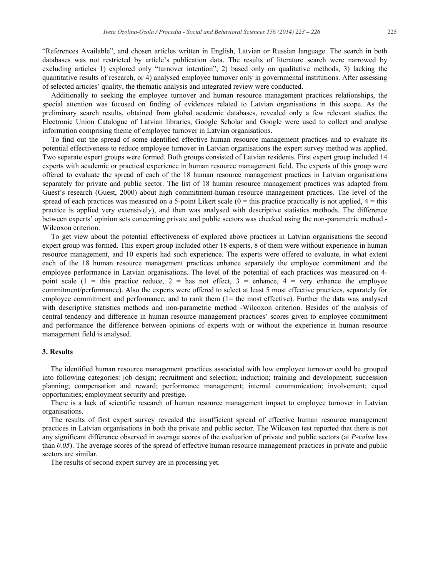"References Available", and chosen articles written in English, Latvian or Russian language. The search in both databases was not restricted by article's publication data. The results of literature search were narrowed by excluding articles 1) explored only "turnover intention", 2) based only on qualitative methods, 3) lacking the quantitative results of research, or 4) analysed employee turnover only in governmental institutions. After assessing of selected articles' quality, the thematic analysis and integrated review were conducted.

Additionally to seeking the employee turnover and human resource management practices relationships, the special attention was focused on finding of evidences related to Latvian organisations in this scope. As the preliminary search results, obtained from global academic databases, revealed only a few relevant studies the Electronic Union Catalogue of Latvian libraries, Google Scholar and Google were used to collect and analyse information comprising theme of employee turnover in Latvian organisations.

To find out the spread of some identified effective human resource management practices and to evaluate its potential effectiveness to reduce employee turnover in Latvian organisations the expert survey method was applied. Two separate expert groups were formed. Both groups consisted of Latvian residents. First expert group included 14 experts with academic or practical experience in human resource management field. The experts of this group were offered to evaluate the spread of each of the 18 human resource management practices in Latvian organisations separately for private and public sector. The list of 18 human resource management practices was adapted from Guest's research (Guest, 2000) about high commitment-human resource management practices. The level of the spread of each practices was measured on a 5-point Likert scale  $(0 = this \text{ practice practically is not applied, } 4 = this$ practice is applied very extensively), and then was analysed with descriptive statistics methods. The difference between experts' opinion sets concerning private and public sectors was checked using the non-parametric method - Wilcoxon criterion.

To get view about the potential effectiveness of explored above practices in Latvian organisations the second expert group was formed. This expert group included other 18 experts, 8 of them were without experience in human resource management, and 10 experts had such experience. The experts were offered to evaluate, in what extent each of the 18 human resource management practices enhance separately the employee commitment and the employee performance in Latvian organisations. The level of the potential of each practices was measured on 4 point scale  $(1 =$  this practice reduce,  $2 =$  has not effect,  $3 =$  enhance,  $4 =$  very enhance the employee commitment/performance). Also the experts were offered to select at least 5 most effective practices, separately for employee commitment and performance, and to rank them (1= the most effective). Further the data was analysed with descriptive statistics methods and non-parametric method -Wilcoxon criterion. Besides of the analysis of central tendency and difference in human resource management practices' scores given to employee commitment and performance the difference between opinions of experts with or without the experience in human resource management field is analysed.

#### **3. Results**

The identified human resource management practices associated with low employee turnover could be grouped into following categories: job design; recruitment and selection; induction; training and development; succession planning; compensation and reward; performance management; internal communication; involvement; equal opportunities; employment security and prestige.

There is a lack of scientific research of human resource management impact to employee turnover in Latvian organisations.

The results of first expert survey revealed the insufficient spread of effective human resource management practices in Latvian organisations in both the private and public sector. The Wilcoxon test reported that there is not any significant difference observed in average scores of the evaluation of private and public sectors (at *P-value* less than *0.05*). The average scores of the spread of effective human resource management practices in private and public sectors are similar.

The results of second expert survey are in processing yet.